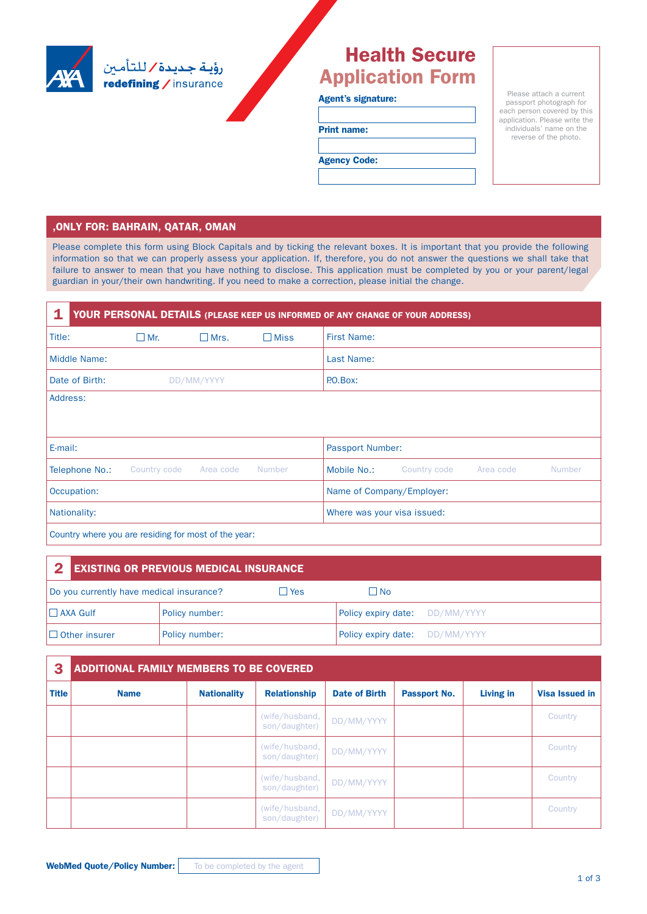

# Health Secure Application Form

#### Agent's signature:

Print name:

Agency Code:

Please attach a current passport photograph for each person covered by this application. Please write the individuals' name on the reverse of the photo.

### , ONLY FOR: BAHRAIN, QATAR, OMAN

Please complete this form using Block Capitals and by ticking the relevant boxes. It is important that you provide the following information so that we can properly assess your application. If, therefore, you do not answer the questions we shall take that failure to answer to mean that you have nothing to disclose. This application must be completed by you or your parent/legal guardian in your/their own handwriting. If you need to make a correction, please initial the change.

| 1<br>YOUR PERSONAL DETAILS (PLEASE KEEP US INFORMED OF ANY CHANGE OF YOUR ADDRESS) |                        |             |                |                           |                             |           |               |  |  |
|------------------------------------------------------------------------------------|------------------------|-------------|----------------|---------------------------|-----------------------------|-----------|---------------|--|--|
| Title:                                                                             | $\Box$ Mr.             | $\Box$ Mrs. | $\square$ Miss | <b>First Name:</b>        |                             |           |               |  |  |
| Middle Name:                                                                       |                        |             |                | Last Name:                |                             |           |               |  |  |
| Date of Birth:                                                                     | DD/MM/YYYY<br>P.O.Box: |             |                |                           |                             |           |               |  |  |
| Address:                                                                           |                        |             |                |                           |                             |           |               |  |  |
| E-mail:                                                                            |                        |             |                | Passport Number:          |                             |           |               |  |  |
| Telephone No.:                                                                     | Country code           | Area code   | Number         | Mobile No.:               | Country code                | Area code | <b>Number</b> |  |  |
| Occupation:                                                                        |                        |             |                | Name of Company/Employer: |                             |           |               |  |  |
| Nationality:                                                                       |                        |             |                |                           | Where was your visa issued: |           |               |  |  |
| Country uporo you are reaiding for most of the year.                               |                        |             |                |                           |                             |           |               |  |  |

Country where you are residing for most of the year:

| <b>EXISTING OR PREVIOUS MEDICAL INSURANCE</b><br>$\mathbf{z}$ |                |        |                                |  |
|---------------------------------------------------------------|----------------|--------|--------------------------------|--|
| Do you currently have medical insurance?                      |                | l lYes | l INo                          |  |
| $\Box$ AXA Gulf                                               | Policy number: |        | Policy expiry date: DD/MM/YYYY |  |
| $\Box$ Other insurer                                          | Policy number: |        | Policy expiry date: DD/MM/YYYY |  |

| 3            | <b>ADDITIONAL FAMILY MEMBERS TO BE COVERED</b> |                    |                                 |                      |              |           |                       |  |  |  |
|--------------|------------------------------------------------|--------------------|---------------------------------|----------------------|--------------|-----------|-----------------------|--|--|--|
| <b>Title</b> | <b>Name</b>                                    | <b>Nationality</b> | <b>Relationship</b>             | <b>Date of Birth</b> | Passport No. | Living in | <b>Visa Issued in</b> |  |  |  |
|              |                                                |                    | (wife/husband,<br>son/daughter) | DD/MM/YYYY           |              |           | Country               |  |  |  |
|              |                                                |                    | (wife/husband,<br>son/daughter) | DD/MM/YYYY           |              |           | Country               |  |  |  |
|              |                                                |                    | (wife/husband,<br>son/daughter) | DD/MM/YYYY           |              |           | Country               |  |  |  |
|              |                                                |                    | (wife/husband,<br>son/daughter) | DD/MM/YYYY           |              |           | Country               |  |  |  |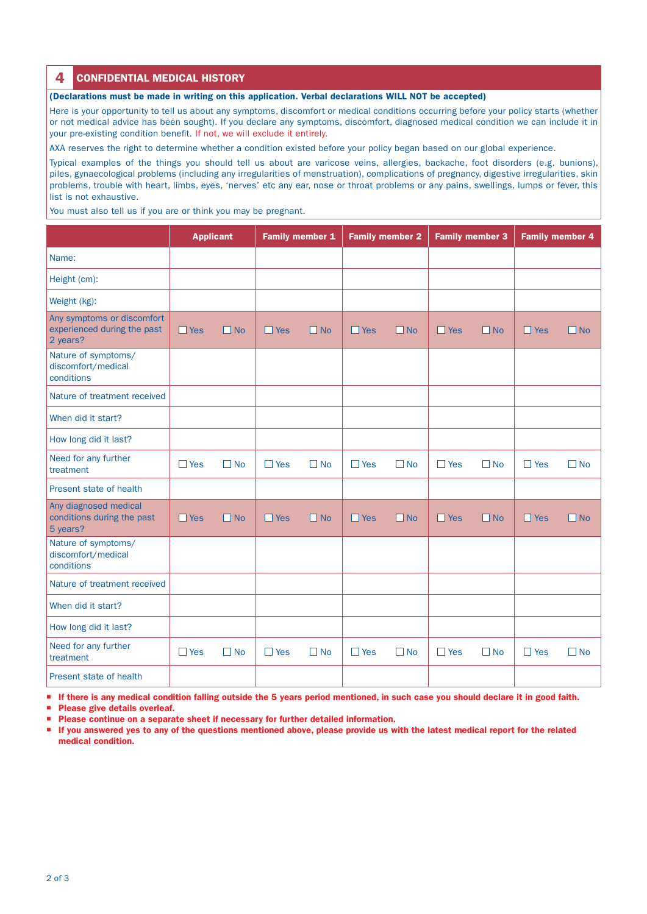## **4** CONFIDENTIAL MEDICAL HISTORY

(Declarations must be made in writing on this application. Verbal declarations WILL NOT be accepted)

Here is your opportunity to tell us about any symptoms, discomfort or medical conditions occurring before your policy starts (whether or not medical advice has been sought). If you declare any symptoms, discomfort, diagnosed medical condition we can include it in your pre-existing condition benefit. If not, we will exclude it entirely.

AXA reserves the right to determine whether a condition existed before your policy began based on our global experience.

Typical examples of the things you should tell us about are varicose veins, allergies, backache, foot disorders (e.g. bunions), piles, gynaecological problems (including any irregularities of menstruation), complications of pregnancy, digestive irregularities, skin problems, trouble with heart, limbs, eyes, 'nerves' etc any ear, nose or throat problems or any pains, swellings, lumps or fever, this list is not exhaustive.

You must also tell us if you are or think you may be pregnant.

|                                                                       | <b>Applicant</b> |           | Family member 1 |           | <b>Family member 2</b> |              | <b>Family member 3</b> |           | <b>Family member 4</b> |           |
|-----------------------------------------------------------------------|------------------|-----------|-----------------|-----------|------------------------|--------------|------------------------|-----------|------------------------|-----------|
| Name:                                                                 |                  |           |                 |           |                        |              |                        |           |                        |           |
| Height (cm):                                                          |                  |           |                 |           |                        |              |                        |           |                        |           |
| Weight (kg):                                                          |                  |           |                 |           |                        |              |                        |           |                        |           |
| Any symptoms or discomfort<br>experienced during the past<br>2 years? | $\Box$ Yes       | $\Box$ No | $\Box$ Yes      | $\Box$ No | $\Box$ Yes             | $\Box$ No    | $\Box$ Yes             | $\Box$ No | $\Box$ Yes             | $\Box$ No |
| Nature of symptoms/<br>discomfort/medical<br>conditions               |                  |           |                 |           |                        |              |                        |           |                        |           |
| Nature of treatment received                                          |                  |           |                 |           |                        |              |                        |           |                        |           |
| When did it start?                                                    |                  |           |                 |           |                        |              |                        |           |                        |           |
| How long did it last?                                                 |                  |           |                 |           |                        |              |                        |           |                        |           |
| Need for any further<br>treatment                                     | $\Box$ Yes       | $\Box$ No | $\Box$ Yes      | $\Box$ No | $\square$ Yes          | $\Box$ No    | $\Box$ Yes             | $\Box$ No | $\square$ Yes          | $\Box$ No |
| Present state of health                                               |                  |           |                 |           |                        |              |                        |           |                        |           |
| Any diagnosed medical<br>conditions during the past<br>5 years?       | $\Box$ Yes       | $\Box$ No | $\Box$ Yes      | $\Box$ No | $\Box$ Yes             | $\Box$ No    | $\Box$ Yes             | $\Box$ No | $\Box$ Yes             | $\Box$ No |
| Nature of symptoms/<br>discomfort/medical<br>conditions               |                  |           |                 |           |                        |              |                        |           |                        |           |
| Nature of treatment received                                          |                  |           |                 |           |                        |              |                        |           |                        |           |
| When did it start?                                                    |                  |           |                 |           |                        |              |                        |           |                        |           |
| How long did it last?                                                 |                  |           |                 |           |                        |              |                        |           |                        |           |
| Need for any further<br>treatment                                     | $\Box$ Yes       | $\Box$ No | $\Box$ Yes      | $\Box$ No | $\Box$ Yes             | $\square$ No | $\Box$ Yes             | $\Box$ No | $\Box$ Yes             | $\Box$ No |
| Present state of health                                               |                  |           |                 |           |                        |              |                        |           |                        |           |

If there is any medical condition falling outside the 5 years period mentioned, in such case you should declare it in good faith.

**Please give details overleaf.** 

Please continue on a separate sheet if necessary for further detailed information.

 If you answered yes to any of the questions mentioned above, please provide us with the latest medical report for the related medical condition.